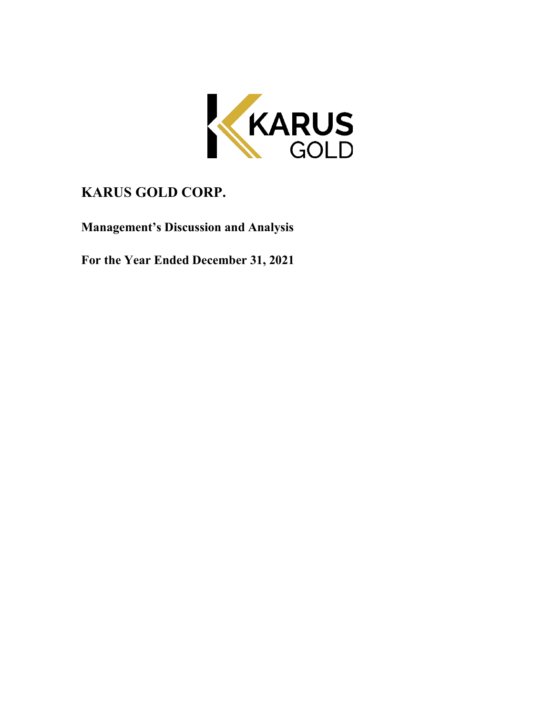

# **KARUS GOLD CORP.**

**Management's Discussion and Analysis**

**For the Year Ended December 31, 2021**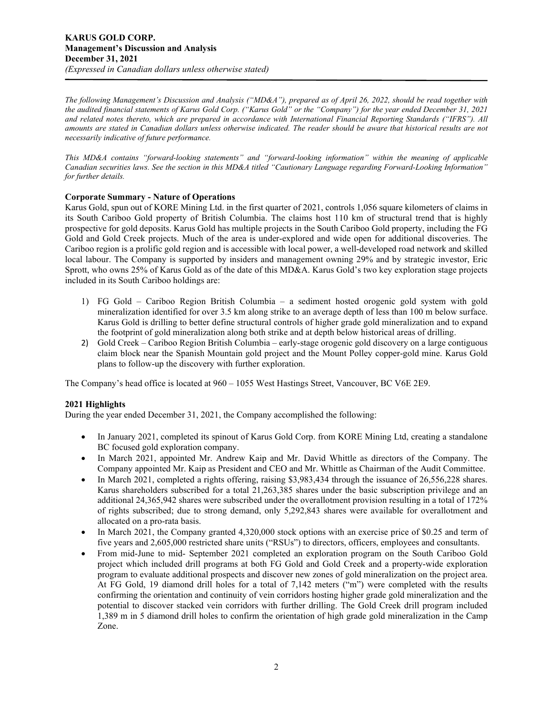*The following Management's Discussion and Analysis ("MD&A"), prepared as of April 26, 2022, should be read together with the audited financial statements of Karus Gold Corp. ("Karus Gold" or the "Company") for the year ended December 31, 2021 and related notes thereto, which are prepared in accordance with International Financial Reporting Standards ("IFRS"). All amounts are stated in Canadian dollars unless otherwise indicated. The reader should be aware that historical results are not necessarily indicative of future performance.*

*This MD&A contains "forward-looking statements" and "forward-looking information" within the meaning of applicable Canadian securities laws. See the section in this MD&A titled "Cautionary Language regarding Forward-Looking Information" for further details.* 

## **Corporate Summary - Nature of Operations**

Karus Gold, spun out of KORE Mining Ltd. in the first quarter of 2021, controls 1,056 square kilometers of claims in its South Cariboo Gold property of British Columbia. The claims host 110 km of structural trend that is highly prospective for gold deposits. Karus Gold has multiple projects in the South Cariboo Gold property, including the FG Gold and Gold Creek projects. Much of the area is under-explored and wide open for additional discoveries. The Cariboo region is a prolific gold region and is accessible with local power, a well-developed road network and skilled local labour. The Company is supported by insiders and management owning 29% and by strategic investor, Eric Sprott, who owns 25% of Karus Gold as of the date of this MD&A. Karus Gold's two key exploration stage projects included in its South Cariboo holdings are:

- 1) FG Gold Cariboo Region British Columbia a sediment hosted orogenic gold system with gold mineralization identified for over 3.5 km along strike to an average depth of less than 100 m below surface. Karus Gold is drilling to better define structural controls of higher grade gold mineralization and to expand the footprint of gold mineralization along both strike and at depth below historical areas of drilling.
- 2) Gold Creek Cariboo Region British Columbia early-stage orogenic gold discovery on a large contiguous claim block near the Spanish Mountain gold project and the Mount Polley copper-gold mine. Karus Gold plans to follow-up the discovery with further exploration.

The Company's head office is located at 960 – 1055 West Hastings Street, Vancouver, BC V6E 2E9.

# **2021 Highlights**

During the year ended December 31, 2021, the Company accomplished the following:

- In January 2021, completed its spinout of Karus Gold Corp. from KORE Mining Ltd, creating a standalone BC focused gold exploration company.
- In March 2021, appointed Mr. Andrew Kaip and Mr. David Whittle as directors of the Company. The Company appointed Mr. Kaip as President and CEO and Mr. Whittle as Chairman of the Audit Committee.
- In March 2021, completed a rights offering, raising \$3,983,434 through the issuance of 26,556,228 shares. Karus shareholders subscribed for a total 21,263,385 shares under the basic subscription privilege and an additional 24,365,942 shares were subscribed under the overallotment provision resulting in a total of 172% of rights subscribed; due to strong demand, only 5,292,843 shares were available for overallotment and allocated on a pro-rata basis.
- In March 2021, the Company granted 4,320,000 stock options with an exercise price of \$0.25 and term of five years and 2,605,000 restricted share units ("RSUs") to directors, officers, employees and consultants.
- From mid-June to mid- September 2021 completed an exploration program on the South Cariboo Gold project which included drill programs at both FG Gold and Gold Creek and a property-wide exploration program to evaluate additional prospects and discover new zones of gold mineralization on the project area. At FG Gold, 19 diamond drill holes for a total of 7,142 meters ("m") were completed with the results confirming the orientation and continuity of vein corridors hosting higher grade gold mineralization and the potential to discover stacked vein corridors with further drilling. The Gold Creek drill program included 1,389 m in 5 diamond drill holes to confirm the orientation of high grade gold mineralization in the Camp Zone.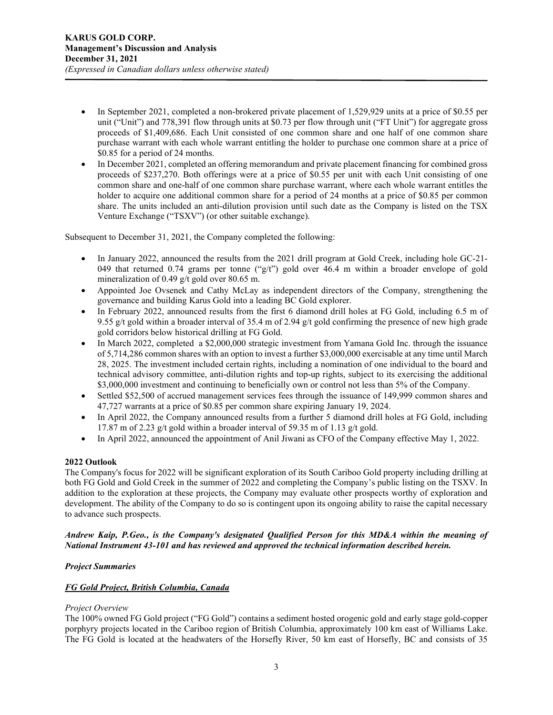- In September 2021, completed a non-brokered private placement of 1,529,929 units at a price of \$0.55 per unit ("Unit") and 778,391 flow through units at \$0.73 per flow through unit ("FT Unit") for aggregate gross proceeds of \$1,409,686. Each Unit consisted of one common share and one half of one common share purchase warrant with each whole warrant entitling the holder to purchase one common share at a price of \$0.85 for a period of 24 months.
- In December 2021, completed an offering memorandum and private placement financing for combined gross proceeds of \$237,270. Both offerings were at a price of \$0.55 per unit with each Unit consisting of one common share and one-half of one common share purchase warrant, where each whole warrant entitles the holder to acquire one additional common share for a period of 24 months at a price of \$0.85 per common share. The units included an anti-dilution provision until such date as the Company is listed on the TSX Venture Exchange ("TSXV") (or other suitable exchange).

Subsequent to December 31, 2021, the Company completed the following:

- In January 2022, announced the results from the 2021 drill program at Gold Creek, including hole GC-21- 049 that returned 0.74 grams per tonne (" $g(t)$ ") gold over 46.4 m within a broader envelope of gold mineralization of 0.49 g/t gold over 80.65 m.
- Appointed Joe Ovsenek and Cathy McLay as independent directors of the Company, strengthening the governance and building Karus Gold into a leading BC Gold explorer.
- In February 2022, announced results from the first 6 diamond drill holes at FG Gold, including 6.5 m of 9.55 g/t gold within a broader interval of 35.4 m of 2.94 g/t gold confirming the presence of new high grade gold corridors below historical drilling at FG Gold.
- In March 2022, completed a \$2,000,000 strategic investment from Yamana Gold Inc. through the issuance of 5,714,286 common shares with an option to invest a further \$3,000,000 exercisable at any time until March 28, 2025. The investment included certain rights, including a nomination of one individual to the board and technical advisory committee, anti-dilution rights and top-up rights, subject to its exercising the additional \$3,000,000 investment and continuing to beneficially own or control not less than 5% of the Company.
- Settled \$52,500 of accrued management services fees through the issuance of 149,999 common shares and 47,727 warrants at a price of \$0.85 per common share expiring January 19, 2024.
- In April 2022, the Company announced results from a further 5 diamond drill holes at FG Gold, including 17.87 m of 2.23 g/t gold within a broader interval of 59.35 m of 1.13 g/t gold.
- In April 2022, announced the appointment of Anil Jiwani as CFO of the Company effective May 1, 2022.

# **2022 Outlook**

The Company's focus for 2022 will be significant exploration of its South Cariboo Gold property including drilling at both FG Gold and Gold Creek in the summer of 2022 and completing the Company's public listing on the TSXV. In addition to the exploration at these projects, the Company may evaluate other prospects worthy of exploration and development. The ability of the Company to do so is contingent upon its ongoing ability to raise the capital necessary to advance such prospects.

*Andrew Kaip, P.Geo., is the Company's designated Qualified Person for this MD&A within the meaning of National Instrument 43-101 and has reviewed and approved the technical information described herein.*

# *Project Summaries*

# *FG Gold Project, British Columbia, Canada*

#### *Project Overview*

The 100% owned FG Gold project ("FG Gold") contains a sediment hosted orogenic gold and early stage gold-copper porphyry projects located in the Cariboo region of British Columbia, approximately 100 km east of Williams Lake. The FG Gold is located at the headwaters of the Horsefly River, 50 km east of Horsefly, BC and consists of 35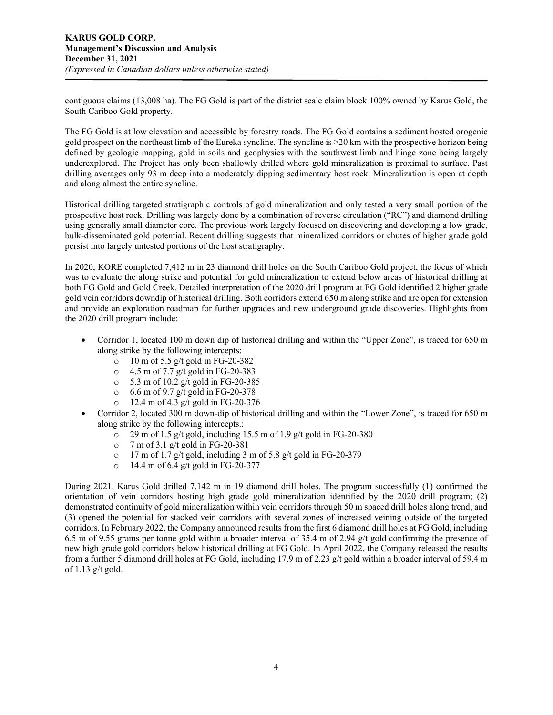contiguous claims (13,008 ha). The FG Gold is part of the district scale claim block 100% owned by Karus Gold, the South Cariboo Gold property.

The FG Gold is at low elevation and accessible by forestry roads. The FG Gold contains a sediment hosted orogenic gold prospect on the northeast limb of the Eureka syncline. The syncline is >20 km with the prospective horizon being defined by geologic mapping, gold in soils and geophysics with the southwest limb and hinge zone being largely underexplored. The Project has only been shallowly drilled where gold mineralization is proximal to surface. Past drilling averages only 93 m deep into a moderately dipping sedimentary host rock. Mineralization is open at depth and along almost the entire syncline.

Historical drilling targeted stratigraphic controls of gold mineralization and only tested a very small portion of the prospective host rock. Drilling was largely done by a combination of reverse circulation ("RC") and diamond drilling using generally small diameter core. The previous work largely focused on discovering and developing a low grade, bulk-disseminated gold potential. Recent drilling suggests that mineralized corridors or chutes of higher grade gold persist into largely untested portions of the host stratigraphy.

In 2020, KORE completed 7,412 m in 23 diamond drill holes on the South Cariboo Gold project, the focus of which was to evaluate the along strike and potential for gold mineralization to extend below areas of historical drilling at both FG Gold and Gold Creek. Detailed interpretation of the 2020 drill program at FG Gold identified 2 higher grade gold vein corridors downdip of historical drilling. Both corridors extend 650 m along strike and are open for extension and provide an exploration roadmap for further upgrades and new underground grade discoveries. Highlights from the 2020 drill program include:

- Corridor 1, located 100 m down dip of historical drilling and within the "Upper Zone", is traced for 650 m along strike by the following intercepts:
	- o 10 m of 5.5 g/t gold in FG-20-382
	- $\circ$  4.5 m of 7.7 g/t gold in FG-20-383<br> $\circ$  5.3 m of 10.2 g/t gold in FG-20-383
	- 5.3 m of 10.2 g/t gold in FG-20-385
	- o 6.6 m of 9.7 g/t gold in FG-20-378
	- o 12.4 m of 4.3 g/t gold in FG-20-376
- Corridor 2, located 300 m down-dip of historical drilling and within the "Lower Zone", is traced for 650 m along strike by the following intercepts.:
	- $\degree$  29 m of 1.5 g/t gold, including 15.5 m of 1.9 g/t gold in FG-20-380
	- o 7 m of 3.1 g/t gold in FG-20-381
	- $\degree$  17 m of 1.7 g/t gold, including 3 m of 5.8 g/t gold in FG-20-379
	- o 14.4 m of 6.4 g/t gold in FG-20-377

During 2021, Karus Gold drilled 7,142 m in 19 diamond drill holes. The program successfully (1) confirmed the orientation of vein corridors hosting high grade gold mineralization identified by the 2020 drill program; (2) demonstrated continuity of gold mineralization within vein corridors through 50 m spaced drill holes along trend; and (3) opened the potential for stacked vein corridors with several zones of increased veining outside of the targeted corridors. In February 2022, the Company announced results from the first 6 diamond drill holes at FG Gold, including 6.5 m of 9.55 grams per tonne gold within a broader interval of 35.4 m of 2.94 g/t gold confirming the presence of new high grade gold corridors below historical drilling at FG Gold. In April 2022, the Company released the results from a further 5 diamond drill holes at FG Gold, including 17.9 m of 2.23 g/t gold within a broader interval of 59.4 m of 1.13  $g/t$  gold.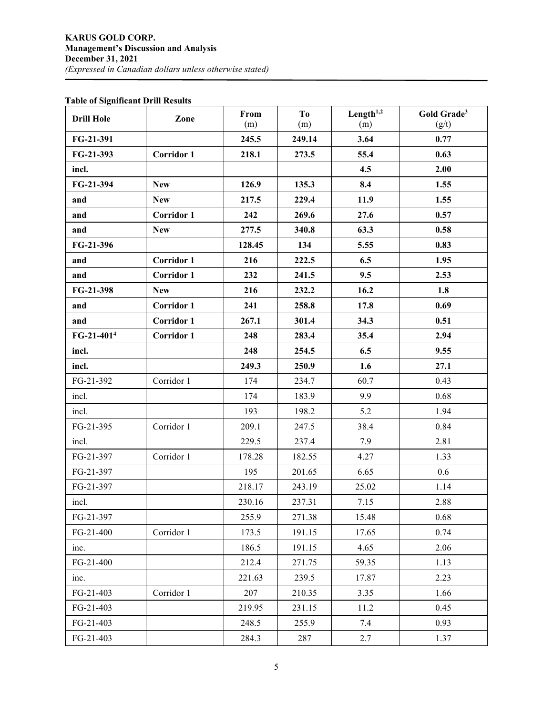# **Table of Significant Drill Results**

| <b>Drill Hole</b>      | Zone              | From<br>(m) | T <sub>o</sub><br>(m) | Length $1,2$<br>(m) | Gold Grade <sup>3</sup><br>(g/t) |
|------------------------|-------------------|-------------|-----------------------|---------------------|----------------------------------|
| FG-21-391              |                   | 245.5       | 249.14                | 3.64                | 0.77                             |
| FG-21-393              | <b>Corridor 1</b> | 218.1       | 273.5                 | 55.4                | 0.63                             |
| incl.                  |                   |             |                       | 4.5                 | 2.00                             |
| FG-21-394              | <b>New</b>        | 126.9       | 135.3                 | 8.4                 | 1.55                             |
| and                    | <b>New</b>        | 217.5       | 229.4                 | 11.9                | 1.55                             |
| and                    | <b>Corridor 1</b> | 242         | 269.6                 | 27.6                | 0.57                             |
| and                    | <b>New</b>        | 277.5       | 340.8                 | 63.3                | 0.58                             |
| FG-21-396              |                   | 128.45      | 134                   | 5.55                | 0.83                             |
|                        | <b>Corridor 1</b> | 216         | 222.5                 | 6.5                 | 1.95                             |
| and                    | <b>Corridor 1</b> | 232         |                       | 9.5                 | 2.53                             |
| and<br>FG-21-398       |                   |             | 241.5<br>232.2        |                     |                                  |
|                        | <b>New</b>        | 216         |                       | 16.2                | 1.8                              |
| and                    | <b>Corridor 1</b> | 241         | 258.8                 | 17.8                | 0.69                             |
| and                    | <b>Corridor 1</b> | 267.1       | 301.4                 | 34.3                | 0.51                             |
| FG-21-401 <sup>4</sup> | <b>Corridor 1</b> | 248         | 283.4                 | 35.4                | 2.94                             |
| incl.                  |                   | 248         | 254.5                 | 6.5                 | 9.55                             |
| incl.                  |                   | 249.3       | 250.9                 | 1.6                 | 27.1                             |
| FG-21-392              | Corridor 1        | 174         | 234.7                 | 60.7                | 0.43                             |
| incl.                  |                   | 174         | 183.9                 | 9.9                 | 0.68                             |
| incl.                  |                   | 193         | 198.2                 | 5.2                 | 1.94                             |
| FG-21-395              | Corridor 1        | 209.1       | 247.5                 | 38.4                | 0.84                             |
| incl.                  |                   | 229.5       | 237.4                 | 7.9                 | 2.81                             |
| FG-21-397              | Corridor 1        | 178.28      | 182.55                | 4.27                | 1.33                             |
| FG-21-397              |                   | 195         | 201.65                | 6.65                | 0.6                              |
| FG-21-397              |                   | 218.17      | 243.19                | 25.02               | 1.14                             |
| incl.                  |                   | 230.16      | 237.31                | 7.15                | 2.88                             |
| FG-21-397              |                   | 255.9       | 271.38                | 15.48               | 0.68                             |
| FG-21-400              | Corridor 1        | 173.5       | 191.15                | 17.65               | 0.74                             |
| inc.                   |                   | 186.5       | 191.15                | 4.65                | 2.06                             |
| FG-21-400              |                   | 212.4       | 271.75                | 59.35               | 1.13                             |
| inc.                   |                   | 221.63      | 239.5                 | 17.87               | 2.23                             |
| FG-21-403              | Corridor 1        | 207         | 210.35                | 3.35                | 1.66                             |
| FG-21-403              |                   | 219.95      | 231.15                | 11.2                | 0.45                             |
| FG-21-403              |                   | 248.5       | 255.9                 | 7.4                 | 0.93                             |
| FG-21-403              |                   | 284.3       | 287                   | 2.7                 | 1.37                             |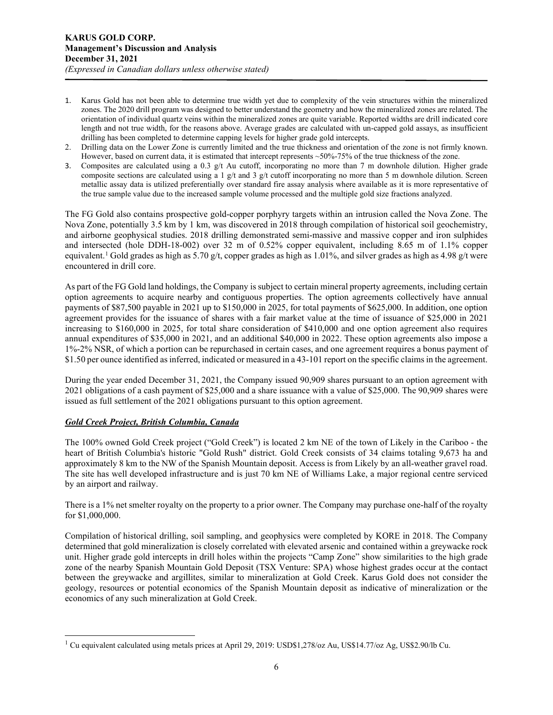- 1. Karus Gold has not been able to determine true width yet due to complexity of the vein structures within the mineralized zones. The 2020 drill program was designed to better understand the geometry and how the mineralized zones are related. The orientation of individual quartz veins within the mineralized zones are quite variable. Reported widths are drill indicated core length and not true width, for the reasons above. Average grades are calculated with un-capped gold assays, as insufficient drilling has been completed to determine capping levels for higher grade gold intercepts.
- 2. Drilling data on the Lower Zone is currently limited and the true thickness and orientation of the zone is not firmly known. However, based on current data, it is estimated that intercept represents  $\sim$ 50%-75% of the true thickness of the zone.
- 3. Composites are calculated using a 0.3  $g/t$  Au cutoff, incorporating no more than 7 m downhole dilution. Higher grade composite sections are calculated using a 1 g/t and 3 g/t cutoff incorporating no more than 5 m downhole dilution. Screen metallic assay data is utilized preferentially over standard fire assay analysis where available as it is more representative of the true sample value due to the increased sample volume processed and the multiple gold size fractions analyzed.

The FG Gold also contains prospective gold-copper porphyry targets within an intrusion called the Nova Zone. The Nova Zone, potentially 3.5 km by 1 km, was discovered in 2018 through compilation of historical soil geochemistry, and airborne geophysical studies. 2018 drilling demonstrated semi-massive and massive copper and iron sulphides and intersected (hole DDH-18-002) over 32 m of 0.52% copper equivalent, including 8.65 m of 1.1% copper equivalent.<sup>[1](#page-5-0)</sup> Gold grades as high as 5.70 g/t, copper grades as high as 1.01%, and silver grades as high as 4.98 g/t were encountered in drill core.

As part of the FG Gold land holdings, the Company is subject to certain mineral property agreements, including certain option agreements to acquire nearby and contiguous properties. The option agreements collectively have annual payments of \$87,500 payable in 2021 up to \$150,000 in 2025, for total payments of \$625,000. In addition, one option agreement provides for the issuance of shares with a fair market value at the time of issuance of \$25,000 in 2021 increasing to \$160,000 in 2025, for total share consideration of \$410,000 and one option agreement also requires annual expenditures of \$35,000 in 2021, and an additional \$40,000 in 2022. These option agreements also impose a 1%-2% NSR, of which a portion can be repurchased in certain cases, and one agreement requires a bonus payment of \$1.50 per ounce identified as inferred, indicated or measured in a 43-101 report on the specific claims in the agreement.

During the year ended December 31, 2021, the Company issued 90,909 shares pursuant to an option agreement with 2021 obligations of a cash payment of \$25,000 and a share issuance with a value of \$25,000. The 90,909 shares were issued as full settlement of the 2021 obligations pursuant to this option agreement.

# *Gold Creek Project, British Columbia, Canada*

The 100% owned Gold Creek project ("Gold Creek") is located 2 km NE of the town of Likely in the Cariboo - the heart of British Columbia's historic "Gold Rush" district. Gold Creek consists of 34 claims totaling 9,673 ha and approximately 8 km to the NW of the Spanish Mountain deposit. Access is from Likely by an all-weather gravel road. The site has well developed infrastructure and is just 70 km NE of Williams Lake, a major regional centre serviced by an airport and railway.

There is a 1% net smelter royalty on the property to a prior owner. The Company may purchase one-half of the royalty for \$1,000,000.

Compilation of historical drilling, soil sampling, and geophysics were completed by KORE in 2018. The Company determined that gold mineralization is closely correlated with elevated arsenic and contained within a greywacke rock unit. Higher grade gold intercepts in drill holes within the projects "Camp Zone" show similarities to the high grade zone of the nearby Spanish Mountain Gold Deposit (TSX Venture: SPA) whose highest grades occur at the contact between the greywacke and argillites, similar to mineralization at Gold Creek. Karus Gold does not consider the geology, resources or potential economics of the Spanish Mountain deposit as indicative of mineralization or the economics of any such mineralization at Gold Creek.

<span id="page-5-0"></span><sup>1</sup> Cu equivalent calculated using metals prices at April 29, 2019: USD\$1,278/oz Au, US\$14.77/oz Ag, US\$2.90/lb Cu.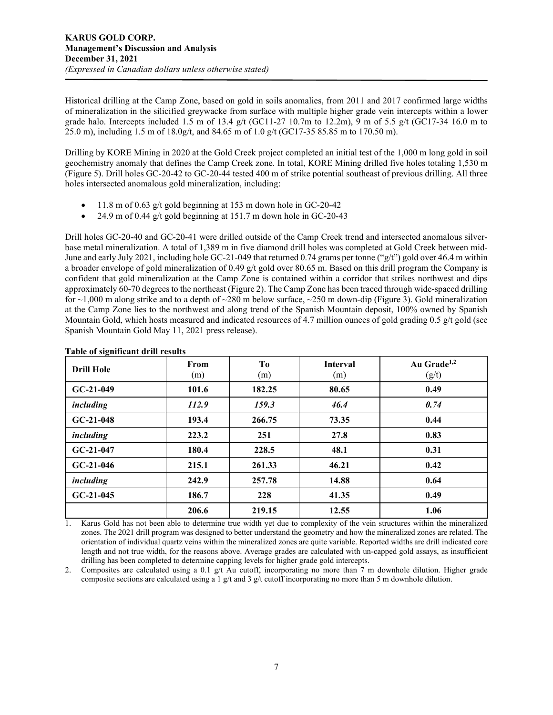Historical drilling at the Camp Zone, based on gold in soils anomalies, from 2011 and 2017 confirmed large widths of mineralization in the silicified greywacke from surface with multiple higher grade vein intercepts within a lower grade halo. Intercepts included 1.5 m of 13.4 g/t (GC11-27 10.7m to 12.2m), 9 m of 5.5 g/t (GC17-34 16.0 m to 25.0 m), including 1.5 m of 18.0g/t, and 84.65 m of 1.0 g/t (GC17-35 85.85 m to 170.50 m).

Drilling by KORE Mining in 2020 at the Gold Creek project completed an initial test of the 1,000 m long gold in soil geochemistry anomaly that defines the Camp Creek zone. In total, KORE Mining drilled five holes totaling 1,530 m (Figure 5). Drill holes GC-20-42 to GC-20-44 tested 400 m of strike potential southeast of previous drilling. All three holes intersected anomalous gold mineralization, including:

- 11.8 m of 0.63 g/t gold beginning at 153 m down hole in GC-20-42
- 24.9 m of 0.44 g/t gold beginning at 151.7 m down hole in GC-20-43

Drill holes GC-20-40 and GC-20-41 were drilled outside of the Camp Creek trend and intersected anomalous silverbase metal mineralization. A total of 1,389 m in five diamond drill holes was completed at Gold Creek between mid-June and early July 2021, including hole GC-21-049 that returned 0.74 grams per tonne ("g/t") gold over 46.4 m within a broader envelope of gold mineralization of 0.49 g/t gold over 80.65 m. Based on this drill program the Company is confident that gold mineralization at the Camp Zone is contained within a corridor that strikes northwest and dips approximately 60-70 degrees to the northeast (Figure 2). The Camp Zone has been traced through wide-spaced drilling for  $\sim$ 1,000 m along strike and to a depth of  $\sim$ 280 m below surface,  $\sim$ 250 m down-dip (Figure 3). Gold mineralization at the Camp Zone lies to the northwest and along trend of the Spanish Mountain deposit, 100% owned by Spanish Mountain Gold, which hosts measured and indicated resources of 4.7 million ounces of gold grading 0.5 g/t gold (see Spanish Mountain Gold May 11, 2021 press release).

| <b>Drill Hole</b> | From<br>(m) | Tо<br>(m) | <b>Interval</b><br>(m) | Au Grade <sup>1,2</sup><br>(g/t) |
|-------------------|-------------|-----------|------------------------|----------------------------------|
| $GC-21-049$       | 101.6       | 182.25    | 80.65                  | 0.49                             |
| including         | 112.9       | 159.3     | 46.4                   | 0.74                             |
| $GC-21-048$       | 193.4       | 266.75    | 73.35                  | 0.44                             |
| including         | 223.2       | 251       | 27.8                   | 0.83                             |
| $GC-21-047$       | 180.4       | 228.5     | 48.1                   | 0.31                             |
| $GC-21-046$       | 215.1       | 261.33    | 46.21                  | 0.42                             |
| <i>including</i>  | 242.9       | 257.78    | 14.88                  | 0.64                             |
| $GC-21-045$       | 186.7       | 228       | 41.35                  | 0.49                             |
|                   | 206.6       | 219.15    | 12.55                  | 1.06                             |

#### **Table of significant drill results**

1. Karus Gold has not been able to determine true width yet due to complexity of the vein structures within the mineralized zones. The 2021 drill program was designed to better understand the geometry and how the mineralized zones are related. The orientation of individual quartz veins within the mineralized zones are quite variable. Reported widths are drill indicated core length and not true width, for the reasons above. Average grades are calculated with un-capped gold assays, as insufficient drilling has been completed to determine capping levels for higher grade gold intercepts.

2. Composites are calculated using a 0.1  $g/t$  Au cutoff, incorporating no more than 7 m downhole dilution. Higher grade composite sections are calculated using a 1 g/t and 3 g/t cutoff incorporating no more than 5 m downhole dilution.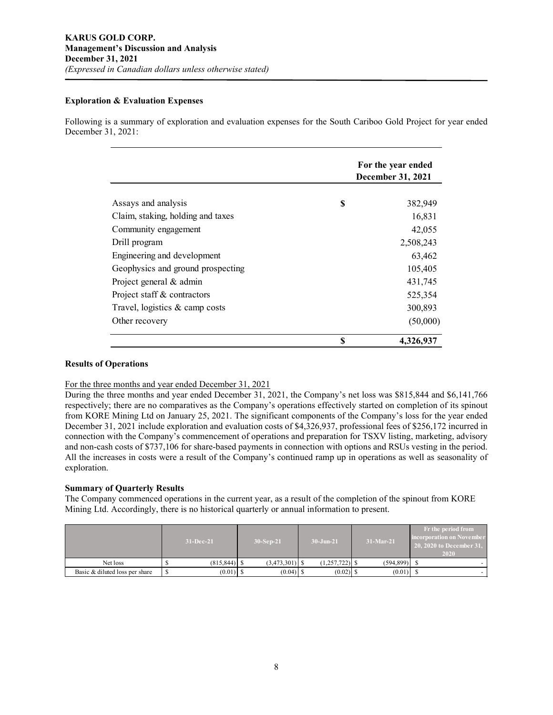## **Exploration & Evaluation Expenses**

Following is a summary of exploration and evaluation expenses for the South Cariboo Gold Project for year ended December 31, 2021:

|                                   | For the year ended<br>December 31, 2021 |  |  |
|-----------------------------------|-----------------------------------------|--|--|
|                                   |                                         |  |  |
| Assays and analysis               | \$<br>382,949                           |  |  |
| Claim, staking, holding and taxes | 16,831                                  |  |  |
| Community engagement              | 42,055                                  |  |  |
| Drill program                     | 2,508,243                               |  |  |
| Engineering and development       | 63,462                                  |  |  |
| Geophysics and ground prospecting | 105,405                                 |  |  |
| Project general & admin           | 431,745                                 |  |  |
| Project staff & contractors       | 525,354                                 |  |  |
| Travel, logistics $\&$ camp costs | 300,893                                 |  |  |
| Other recovery                    | (50,000)                                |  |  |
|                                   | \$<br>4,326,937                         |  |  |

# **Results of Operations**

#### For the three months and year ended December 31, 2021

During the three months and year ended December 31, 2021, the Company's net loss was \$815,844 and \$6,141,766 respectively; there are no comparatives as the Company's operations effectively started on completion of its spinout from KORE Mining Ltd on January 25, 2021. The significant components of the Company's loss for the year ended December 31, 2021 include exploration and evaluation costs of \$4,326,937, professional fees of \$256,172 incurred in connection with the Company's commencement of operations and preparation for TSXV listing, marketing, advisory and non-cash costs of \$737,106 for share-based payments in connection with options and RSUs vesting in the period. All the increases in costs were a result of the Company's continued ramp up in operations as well as seasonality of exploration.

# **Summary of Quarterly Results**

The Company commenced operations in the current year, as a result of the completion of the spinout from KORE Mining Ltd. Accordingly, there is no historical quarterly or annual information to present.

|                                | $31 - Dec-21$ | $30-Sep-21$     |  | $30 - Jun-21$    |  | $31-Mar-21$ | Fr the period from<br>incorporation on November<br>$120, 2020$ to December 31,<br>2020 |
|--------------------------------|---------------|-----------------|--|------------------|--|-------------|----------------------------------------------------------------------------------------|
| Net loss                       |               | $(3,473,301)$ S |  | $(1,257,722)$ \$ |  | (594.899)   |                                                                                        |
| Basic & diluted loss per share |               | $(0.04)$ \$     |  |                  |  | (0.01)      |                                                                                        |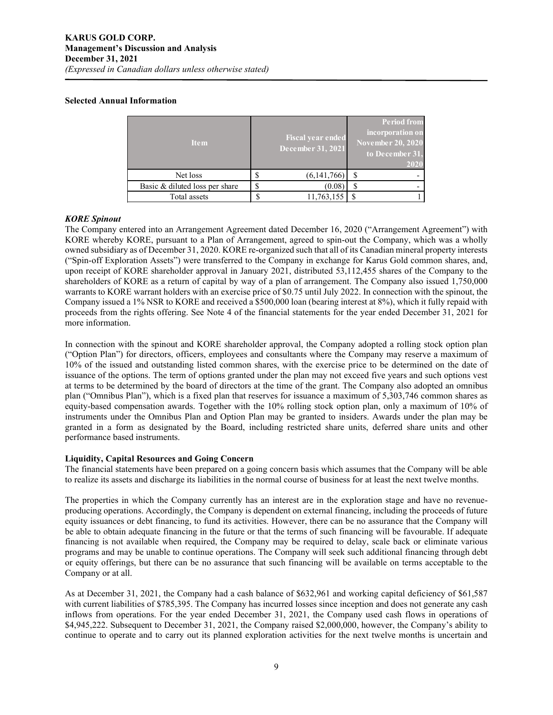## **Selected Annual Information**

| <b>Item</b>                    |   | <b>Fiscal year ended</b><br>December 31, 2021 |  | <b>Period from</b><br>incorporation on<br><b>November 20, 2020</b><br>to December 31,<br>2020 |  |  |
|--------------------------------|---|-----------------------------------------------|--|-----------------------------------------------------------------------------------------------|--|--|
| Net loss                       |   | (6,141,766)                                   |  |                                                                                               |  |  |
| Basic & diluted loss per share | S | (0.08)                                        |  |                                                                                               |  |  |
| Total assets                   |   | 11,763,155                                    |  |                                                                                               |  |  |

#### *KORE Spinout*

The Company entered into an Arrangement Agreement dated December 16, 2020 ("Arrangement Agreement") with KORE whereby KORE, pursuant to a Plan of Arrangement, agreed to spin-out the Company, which was a wholly owned subsidiary as of December 31, 2020. KORE re-organized such that all of its Canadian mineral property interests ("Spin-off Exploration Assets") were transferred to the Company in exchange for Karus Gold common shares, and, upon receipt of KORE shareholder approval in January 2021, distributed 53,112,455 shares of the Company to the shareholders of KORE as a return of capital by way of a plan of arrangement. The Company also issued 1,750,000 warrants to KORE warrant holders with an exercise price of \$0.75 until July 2022. In connection with the spinout, the Company issued a 1% NSR to KORE and received a \$500,000 loan (bearing interest at 8%), which it fully repaid with proceeds from the rights offering. See Note 4 of the financial statements for the year ended December 31, 2021 for more information.

In connection with the spinout and KORE shareholder approval, the Company adopted a rolling stock option plan ("Option Plan") for directors, officers, employees and consultants where the Company may reserve a maximum of 10% of the issued and outstanding listed common shares, with the exercise price to be determined on the date of issuance of the options. The term of options granted under the plan may not exceed five years and such options vest at terms to be determined by the board of directors at the time of the grant. The Company also adopted an omnibus plan ("Omnibus Plan"), which is a fixed plan that reserves for issuance a maximum of 5,303,746 common shares as equity-based compensation awards. Together with the 10% rolling stock option plan, only a maximum of 10% of instruments under the Omnibus Plan and Option Plan may be granted to insiders. Awards under the plan may be granted in a form as designated by the Board, including restricted share units, deferred share units and other performance based instruments.

## **Liquidity, Capital Resources and Going Concern**

The financial statements have been prepared on a going concern basis which assumes that the Company will be able to realize its assets and discharge its liabilities in the normal course of business for at least the next twelve months.

The properties in which the Company currently has an interest are in the exploration stage and have no revenueproducing operations. Accordingly, the Company is dependent on external financing, including the proceeds of future equity issuances or debt financing, to fund its activities. However, there can be no assurance that the Company will be able to obtain adequate financing in the future or that the terms of such financing will be favourable. If adequate financing is not available when required, the Company may be required to delay, scale back or eliminate various programs and may be unable to continue operations. The Company will seek such additional financing through debt or equity offerings, but there can be no assurance that such financing will be available on terms acceptable to the Company or at all.

As at December 31, 2021, the Company had a cash balance of \$632,961 and working capital deficiency of \$61,587 with current liabilities of \$785,395. The Company has incurred losses since inception and does not generate any cash inflows from operations. For the year ended December 31, 2021, the Company used cash flows in operations of \$4,945,222. Subsequent to December 31, 2021, the Company raised \$2,000,000, however, the Company's ability to continue to operate and to carry out its planned exploration activities for the next twelve months is uncertain and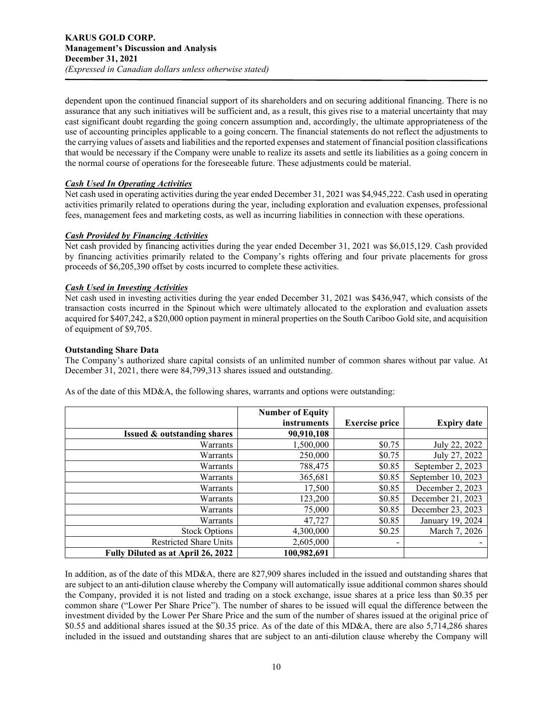dependent upon the continued financial support of its shareholders and on securing additional financing. There is no assurance that any such initiatives will be sufficient and, as a result, this gives rise to a material uncertainty that may cast significant doubt regarding the going concern assumption and, accordingly, the ultimate appropriateness of the use of accounting principles applicable to a going concern. The financial statements do not reflect the adjustments to the carrying values of assets and liabilities and the reported expenses and statement of financial position classifications that would be necessary if the Company were unable to realize its assets and settle its liabilities as a going concern in the normal course of operations for the foreseeable future. These adjustments could be material.

# *Cash Used In Operating Activities*

Net cash used in operating activities during the year ended December 31, 2021 was \$4,945,222. Cash used in operating activities primarily related to operations during the year, including exploration and evaluation expenses, professional fees, management fees and marketing costs, as well as incurring liabilities in connection with these operations.

# *Cash Provided by Financing Activities*

Net cash provided by financing activities during the year ended December 31, 2021 was \$6,015,129. Cash provided by financing activities primarily related to the Company's rights offering and four private placements for gross proceeds of \$6,205,390 offset by costs incurred to complete these activities.

# *Cash Used in Investing Activities*

Net cash used in investing activities during the year ended December 31, 2021 was \$436,947, which consists of the transaction costs incurred in the Spinout which were ultimately allocated to the exploration and evaluation assets acquired for \$407,242, a \$20,000 option payment in mineral properties on the South Cariboo Gold site, and acquisition of equipment of \$9,705.

# **Outstanding Share Data**

The Company's authorized share capital consists of an unlimited number of common shares without par value. At December 31, 2021, there were 84,799,313 shares issued and outstanding.

As of the date of this MD&A, the following shares, warrants and options were outstanding:

|                                        | <b>Number of Equity</b> |                          |                    |
|----------------------------------------|-------------------------|--------------------------|--------------------|
|                                        | instruments             | <b>Exercise price</b>    | <b>Expiry date</b> |
| <b>Issued &amp; outstanding shares</b> | 90,910,108              |                          |                    |
| Warrants                               | 1,500,000               | \$0.75                   | July 22, 2022      |
| Warrants                               | 250,000                 | \$0.75                   | July 27, 2022      |
| Warrants                               | 788,475                 | \$0.85                   | September 2, 2023  |
| Warrants                               | 365,681                 | \$0.85                   | September 10, 2023 |
| Warrants                               | 17,500                  | \$0.85                   | December 2, 2023   |
| Warrants                               | 123,200                 | \$0.85                   | December 21, 2023  |
| Warrants                               | 75,000                  | \$0.85                   | December 23, 2023  |
| Warrants                               | 47,727                  | \$0.85                   | January 19, 2024   |
| <b>Stock Options</b>                   | 4,300,000               | \$0.25                   | March 7, 2026      |
| <b>Restricted Share Units</b>          | 2,605,000               | $\overline{\phantom{a}}$ |                    |
| Fully Diluted as at April 26, 2022     | 100,982,691             |                          |                    |

In addition, as of the date of this MD&A, there are 827,909 shares included in the issued and outstanding shares that are subject to an anti-dilution clause whereby the Company will automatically issue additional common shares should the Company, provided it is not listed and trading on a stock exchange, issue shares at a price less than \$0.35 per common share ("Lower Per Share Price"). The number of shares to be issued will equal the difference between the investment divided by the Lower Per Share Price and the sum of the number of shares issued at the original price of \$0.55 and additional shares issued at the \$0.35 price. As of the date of this MD&A, there are also 5,714,286 shares included in the issued and outstanding shares that are subject to an anti-dilution clause whereby the Company will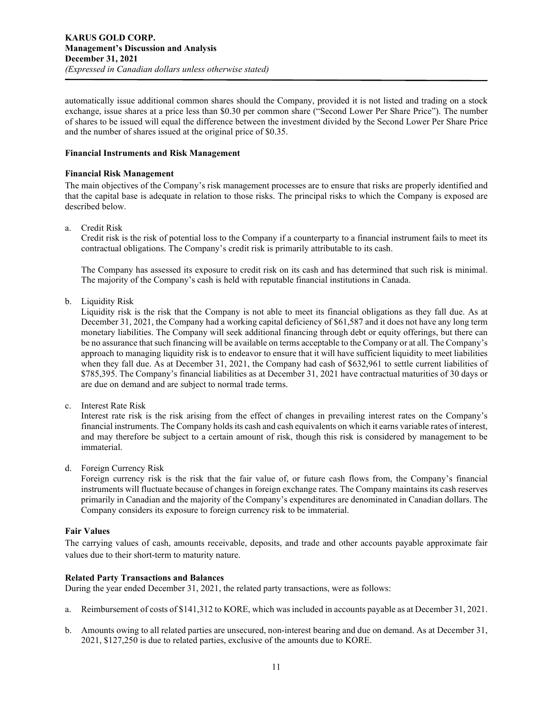automatically issue additional common shares should the Company, provided it is not listed and trading on a stock exchange, issue shares at a price less than \$0.30 per common share ("Second Lower Per Share Price"). The number of shares to be issued will equal the difference between the investment divided by the Second Lower Per Share Price and the number of shares issued at the original price of \$0.35.

## **Financial Instruments and Risk Management**

## **Financial Risk Management**

The main objectives of the Company's risk management processes are to ensure that risks are properly identified and that the capital base is adequate in relation to those risks. The principal risks to which the Company is exposed are described below.

a. Credit Risk

Credit risk is the risk of potential loss to the Company if a counterparty to a financial instrument fails to meet its contractual obligations. The Company's credit risk is primarily attributable to its cash.

The Company has assessed its exposure to credit risk on its cash and has determined that such risk is minimal. The majority of the Company's cash is held with reputable financial institutions in Canada.

b. Liquidity Risk

Liquidity risk is the risk that the Company is not able to meet its financial obligations as they fall due. As at December 31, 2021, the Company had a working capital deficiency of \$61,587 and it does not have any long term monetary liabilities. The Company will seek additional financing through debt or equity offerings, but there can be no assurance that such financing will be available on terms acceptable to the Company or at all. The Company's approach to managing liquidity risk is to endeavor to ensure that it will have sufficient liquidity to meet liabilities when they fall due. As at December 31, 2021, the Company had cash of \$632,961 to settle current liabilities of \$785,395. The Company's financial liabilities as at December 31, 2021 have contractual maturities of 30 days or are due on demand and are subject to normal trade terms.

c. Interest Rate Risk

Interest rate risk is the risk arising from the effect of changes in prevailing interest rates on the Company's financial instruments. The Company holds its cash and cash equivalents on which it earns variable rates of interest, and may therefore be subject to a certain amount of risk, though this risk is considered by management to be immaterial.

d. Foreign Currency Risk

Foreign currency risk is the risk that the fair value of, or future cash flows from, the Company's financial instruments will fluctuate because of changes in foreign exchange rates. The Company maintains its cash reserves primarily in Canadian and the majority of the Company's expenditures are denominated in Canadian dollars. The Company considers its exposure to foreign currency risk to be immaterial.

# **Fair Values**

The carrying values of cash, amounts receivable, deposits, and trade and other accounts payable approximate fair values due to their short-term to maturity nature.

# **Related Party Transactions and Balances**

During the year ended December 31, 2021, the related party transactions, were as follows:

- a. Reimbursement of costs of \$141,312 to KORE, which was included in accounts payable as at December 31, 2021.
- b. Amounts owing to all related parties are unsecured, non-interest bearing and due on demand. As at December 31, 2021, \$127,250 is due to related parties, exclusive of the amounts due to KORE.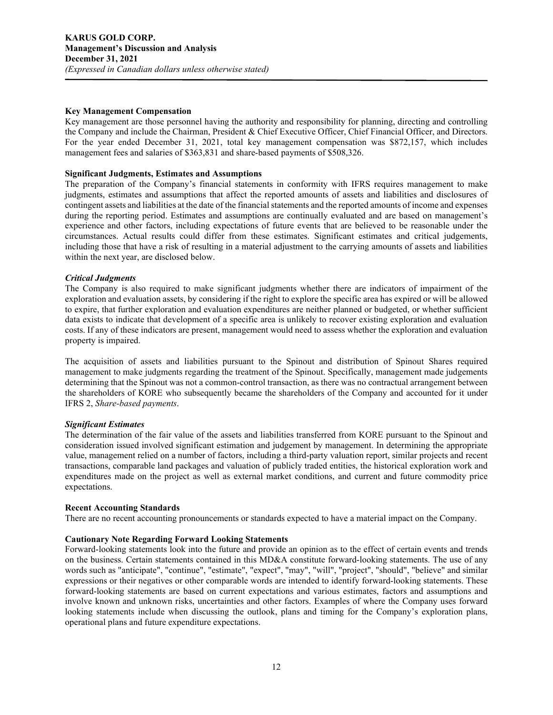#### **Key Management Compensation**

Key management are those personnel having the authority and responsibility for planning, directing and controlling the Company and include the Chairman, President & Chief Executive Officer, Chief Financial Officer, and Directors. For the year ended December 31, 2021, total key management compensation was \$872,157, which includes management fees and salaries of \$363,831 and share-based payments of \$508,326.

## **Significant Judgments, Estimates and Assumptions**

The preparation of the Company's financial statements in conformity with IFRS requires management to make judgments, estimates and assumptions that affect the reported amounts of assets and liabilities and disclosures of contingent assets and liabilities at the date of the financial statements and the reported amounts of income and expenses during the reporting period. Estimates and assumptions are continually evaluated and are based on management's experience and other factors, including expectations of future events that are believed to be reasonable under the circumstances. Actual results could differ from these estimates. Significant estimates and critical judgements, including those that have a risk of resulting in a material adjustment to the carrying amounts of assets and liabilities within the next year, are disclosed below.

## *Critical Judgments*

The Company is also required to make significant judgments whether there are indicators of impairment of the exploration and evaluation assets, by considering if the right to explore the specific area has expired or will be allowed to expire, that further exploration and evaluation expenditures are neither planned or budgeted, or whether sufficient data exists to indicate that development of a specific area is unlikely to recover existing exploration and evaluation costs. If any of these indicators are present, management would need to assess whether the exploration and evaluation property is impaired.

The acquisition of assets and liabilities pursuant to the Spinout and distribution of Spinout Shares required management to make judgments regarding the treatment of the Spinout. Specifically, management made judgements determining that the Spinout was not a common-control transaction, as there was no contractual arrangement between the shareholders of KORE who subsequently became the shareholders of the Company and accounted for it under IFRS 2, *Share-based payments*.

# *Significant Estimates*

The determination of the fair value of the assets and liabilities transferred from KORE pursuant to the Spinout and consideration issued involved significant estimation and judgement by management. In determining the appropriate value, management relied on a number of factors, including a third-party valuation report, similar projects and recent transactions, comparable land packages and valuation of publicly traded entities, the historical exploration work and expenditures made on the project as well as external market conditions, and current and future commodity price expectations.

#### **Recent Accounting Standards**

There are no recent accounting pronouncements or standards expected to have a material impact on the Company.

#### **Cautionary Note Regarding Forward Looking Statements**

Forward-looking statements look into the future and provide an opinion as to the effect of certain events and trends on the business. Certain statements contained in this MD&A constitute forward-looking statements. The use of any words such as "anticipate", "continue", "estimate", "expect", "may", "will", "project", "should", "believe" and similar expressions or their negatives or other comparable words are intended to identify forward-looking statements. These forward-looking statements are based on current expectations and various estimates, factors and assumptions and involve known and unknown risks, uncertainties and other factors. Examples of where the Company uses forward looking statements include when discussing the outlook, plans and timing for the Company's exploration plans, operational plans and future expenditure expectations.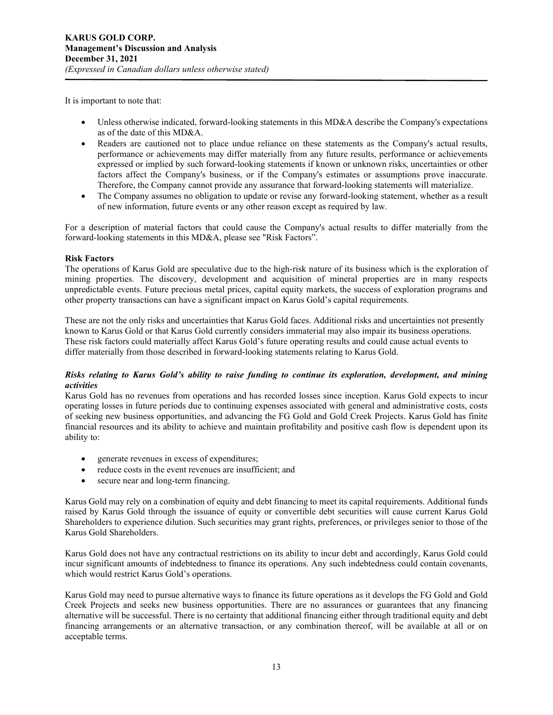It is important to note that:

- Unless otherwise indicated, forward-looking statements in this MD&A describe the Company's expectations as of the date of this MD&A.
- Readers are cautioned not to place undue reliance on these statements as the Company's actual results, performance or achievements may differ materially from any future results, performance or achievements expressed or implied by such forward-looking statements if known or unknown risks, uncertainties or other factors affect the Company's business, or if the Company's estimates or assumptions prove inaccurate. Therefore, the Company cannot provide any assurance that forward-looking statements will materialize.
- The Company assumes no obligation to update or revise any forward-looking statement, whether as a result of new information, future events or any other reason except as required by law.

For a description of material factors that could cause the Company's actual results to differ materially from the forward-looking statements in this MD&A, please see "Risk Factors".

# **Risk Factors**

The operations of Karus Gold are speculative due to the high-risk nature of its business which is the exploration of mining properties. The discovery, development and acquisition of mineral properties are in many respects unpredictable events. Future precious metal prices, capital equity markets, the success of exploration programs and other property transactions can have a significant impact on Karus Gold's capital requirements.

These are not the only risks and uncertainties that Karus Gold faces. Additional risks and uncertainties not presently known to Karus Gold or that Karus Gold currently considers immaterial may also impair its business operations. These risk factors could materially affect Karus Gold's future operating results and could cause actual events to differ materially from those described in forward-looking statements relating to Karus Gold.

# *Risks relating to Karus Gold's ability to raise funding to continue its exploration, development, and mining activities*

Karus Gold has no revenues from operations and has recorded losses since inception. Karus Gold expects to incur operating losses in future periods due to continuing expenses associated with general and administrative costs, costs of seeking new business opportunities, and advancing the FG Gold and Gold Creek Projects. Karus Gold has finite financial resources and its ability to achieve and maintain profitability and positive cash flow is dependent upon its ability to:

- generate revenues in excess of expenditures;
- reduce costs in the event revenues are insufficient; and
- secure near and long-term financing.

Karus Gold may rely on a combination of equity and debt financing to meet its capital requirements. Additional funds raised by Karus Gold through the issuance of equity or convertible debt securities will cause current Karus Gold Shareholders to experience dilution. Such securities may grant rights, preferences, or privileges senior to those of the Karus Gold Shareholders.

Karus Gold does not have any contractual restrictions on its ability to incur debt and accordingly, Karus Gold could incur significant amounts of indebtedness to finance its operations. Any such indebtedness could contain covenants, which would restrict Karus Gold's operations.

Karus Gold may need to pursue alternative ways to finance its future operations as it develops the FG Gold and Gold Creek Projects and seeks new business opportunities. There are no assurances or guarantees that any financing alternative will be successful. There is no certainty that additional financing either through traditional equity and debt financing arrangements or an alternative transaction, or any combination thereof, will be available at all or on acceptable terms.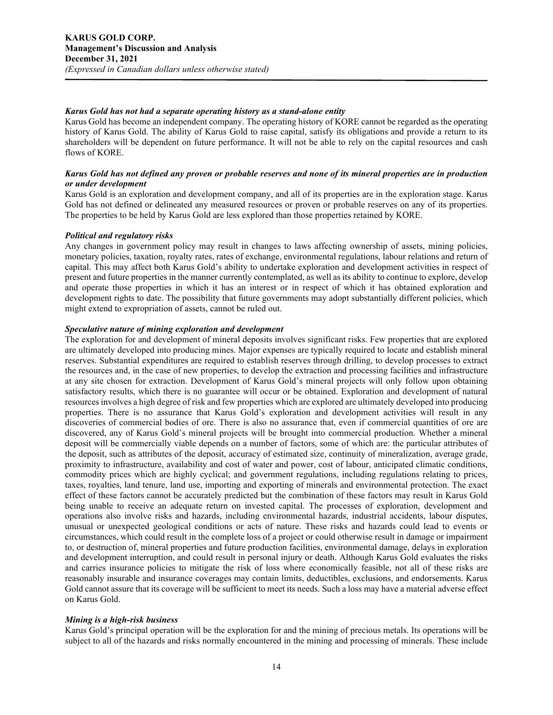## *Karus Gold has not had a separate operating history as a stand-alone entity*

Karus Gold has become an independent company. The operating history of KORE cannot be regarded as the operating history of Karus Gold. The ability of Karus Gold to raise capital, satisfy its obligations and provide a return to its shareholders will be dependent on future performance. It will not be able to rely on the capital resources and cash flows of KORE.

# *Karus Gold has not defined any proven or probable reserves and none of its mineral properties are in production or under development*

Karus Gold is an exploration and development company, and all of its properties are in the exploration stage. Karus Gold has not defined or delineated any measured resources or proven or probable reserves on any of its properties. The properties to be held by Karus Gold are less explored than those properties retained by KORE.

## *Political and regulatory risks*

Any changes in government policy may result in changes to laws affecting ownership of assets, mining policies, monetary policies, taxation, royalty rates, rates of exchange, environmental regulations, labour relations and return of capital. This may affect both Karus Gold's ability to undertake exploration and development activities in respect of present and future properties in the manner currently contemplated, as well as its ability to continue to explore, develop and operate those properties in which it has an interest or in respect of which it has obtained exploration and development rights to date. The possibility that future governments may adopt substantially different policies, which might extend to expropriation of assets, cannot be ruled out.

## *Speculative nature of mining exploration and development*

The exploration for and development of mineral deposits involves significant risks. Few properties that are explored are ultimately developed into producing mines. Major expenses are typically required to locate and establish mineral reserves. Substantial expenditures are required to establish reserves through drilling, to develop processes to extract the resources and, in the case of new properties, to develop the extraction and processing facilities and infrastructure at any site chosen for extraction. Development of Karus Gold's mineral projects will only follow upon obtaining satisfactory results, which there is no guarantee will occur or be obtained. Exploration and development of natural resources involves a high degree of risk and few properties which are explored are ultimately developed into producing properties. There is no assurance that Karus Gold's exploration and development activities will result in any discoveries of commercial bodies of ore. There is also no assurance that, even if commercial quantities of ore are discovered, any of Karus Gold's mineral projects will be brought into commercial production. Whether a mineral deposit will be commercially viable depends on a number of factors, some of which are: the particular attributes of the deposit, such as attributes of the deposit, accuracy of estimated size, continuity of mineralization, average grade, proximity to infrastructure, availability and cost of water and power, cost of labour, anticipated climatic conditions, commodity prices which are highly cyclical; and government regulations, including regulations relating to prices, taxes, royalties, land tenure, land use, importing and exporting of minerals and environmental protection. The exact effect of these factors cannot be accurately predicted but the combination of these factors may result in Karus Gold being unable to receive an adequate return on invested capital. The processes of exploration, development and operations also involve risks and hazards, including environmental hazards, industrial accidents, labour disputes, unusual or unexpected geological conditions or acts of nature. These risks and hazards could lead to events or circumstances, which could result in the complete loss of a project or could otherwise result in damage or impairment to, or destruction of, mineral properties and future production facilities, environmental damage, delays in exploration and development interruption, and could result in personal injury or death. Although Karus Gold evaluates the risks and carries insurance policies to mitigate the risk of loss where economically feasible, not all of these risks are reasonably insurable and insurance coverages may contain limits, deductibles, exclusions, and endorsements. Karus Gold cannot assure that its coverage will be sufficient to meet its needs. Such a loss may have a material adverse effect on Karus Gold.

#### *Mining is a high-risk business*

Karus Gold's principal operation will be the exploration for and the mining of precious metals. Its operations will be subject to all of the hazards and risks normally encountered in the mining and processing of minerals. These include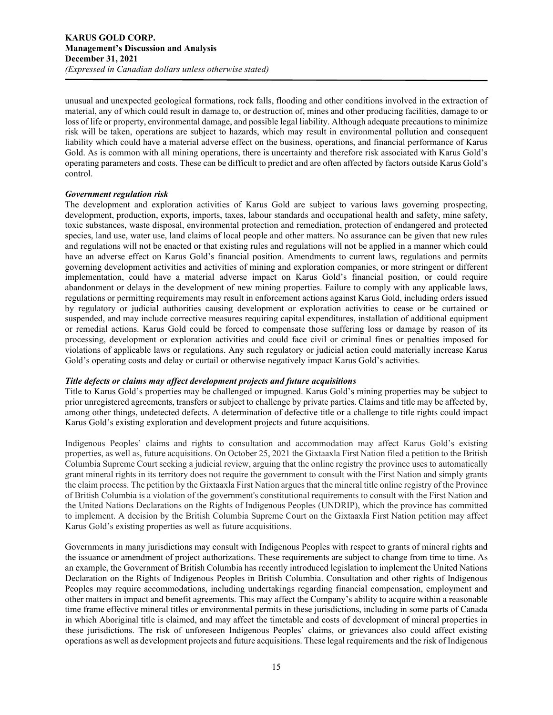unusual and unexpected geological formations, rock falls, flooding and other conditions involved in the extraction of material, any of which could result in damage to, or destruction of, mines and other producing facilities, damage to or loss of life or property, environmental damage, and possible legal liability. Although adequate precautions to minimize risk will be taken, operations are subject to hazards, which may result in environmental pollution and consequent liability which could have a material adverse effect on the business, operations, and financial performance of Karus Gold. As is common with all mining operations, there is uncertainty and therefore risk associated with Karus Gold's operating parameters and costs. These can be difficult to predict and are often affected by factors outside Karus Gold's control.

## *Government regulation risk*

The development and exploration activities of Karus Gold are subject to various laws governing prospecting, development, production, exports, imports, taxes, labour standards and occupational health and safety, mine safety, toxic substances, waste disposal, environmental protection and remediation, protection of endangered and protected species, land use, water use, land claims of local people and other matters. No assurance can be given that new rules and regulations will not be enacted or that existing rules and regulations will not be applied in a manner which could have an adverse effect on Karus Gold's financial position. Amendments to current laws, regulations and permits governing development activities and activities of mining and exploration companies, or more stringent or different implementation, could have a material adverse impact on Karus Gold's financial position, or could require abandonment or delays in the development of new mining properties. Failure to comply with any applicable laws, regulations or permitting requirements may result in enforcement actions against Karus Gold, including orders issued by regulatory or judicial authorities causing development or exploration activities to cease or be curtained or suspended, and may include corrective measures requiring capital expenditures, installation of additional equipment or remedial actions. Karus Gold could be forced to compensate those suffering loss or damage by reason of its processing, development or exploration activities and could face civil or criminal fines or penalties imposed for violations of applicable laws or regulations. Any such regulatory or judicial action could materially increase Karus Gold's operating costs and delay or curtail or otherwise negatively impact Karus Gold's activities.

# *Title defects or claims may affect development projects and future acquisitions*

Title to Karus Gold's properties may be challenged or impugned. Karus Gold's mining properties may be subject to prior unregistered agreements, transfers or subject to challenge by private parties. Claims and title may be affected by, among other things, undetected defects. A determination of defective title or a challenge to title rights could impact Karus Gold's existing exploration and development projects and future acquisitions.

Indigenous Peoples' claims and rights to consultation and accommodation may affect Karus Gold's existing properties, as well as, future acquisitions. On October 25, 2021 the Gixtaaxla First Nation filed a petition to the British Columbia Supreme Court seeking a judicial review, arguing that the online registry the province uses to automatically grant mineral rights in its territory does not require the government to consult with the First Nation and simply grants the claim process. The petition by the Gixtaaxla First Nation argues that the mineral title online registry of the Province of British Columbia is a violation of the government's constitutional requirements to consult with the First Nation and the United Nations Declarations on the Rights of Indigenous Peoples (UNDRIP), which the province has committed to implement. A decision by the British Columbia Supreme Court on the Gixtaaxla First Nation petition may affect Karus Gold's existing properties as well as future acquisitions.

Governments in many jurisdictions may consult with Indigenous Peoples with respect to grants of mineral rights and the issuance or amendment of project authorizations. These requirements are subject to change from time to time. As an example, the Government of British Columbia has recently introduced legislation to implement the United Nations Declaration on the Rights of Indigenous Peoples in British Columbia. Consultation and other rights of Indigenous Peoples may require accommodations, including undertakings regarding financial compensation, employment and other matters in impact and benefit agreements. This may affect the Company's ability to acquire within a reasonable time frame effective mineral titles or environmental permits in these jurisdictions, including in some parts of Canada in which Aboriginal title is claimed, and may affect the timetable and costs of development of mineral properties in these jurisdictions. The risk of unforeseen Indigenous Peoples' claims, or grievances also could affect existing operations as well as development projects and future acquisitions. These legal requirements and the risk of Indigenous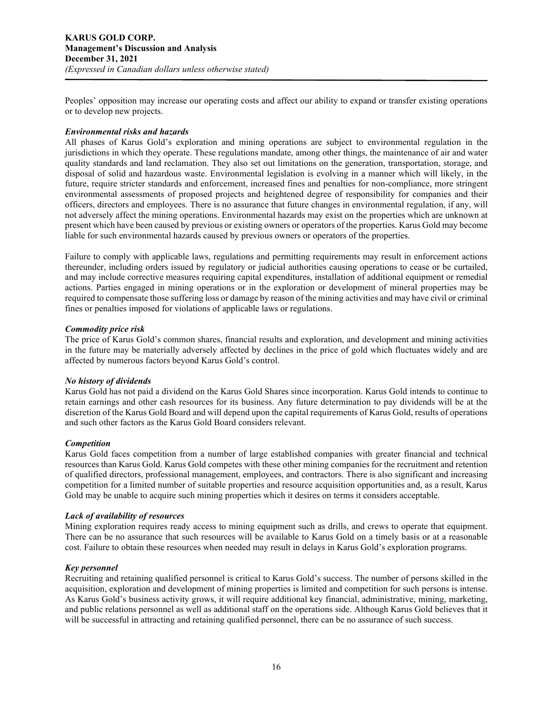Peoples' opposition may increase our operating costs and affect our ability to expand or transfer existing operations or to develop new projects.

## *Environmental risks and hazards*

All phases of Karus Gold's exploration and mining operations are subject to environmental regulation in the jurisdictions in which they operate. These regulations mandate, among other things, the maintenance of air and water quality standards and land reclamation. They also set out limitations on the generation, transportation, storage, and disposal of solid and hazardous waste. Environmental legislation is evolving in a manner which will likely, in the future, require stricter standards and enforcement, increased fines and penalties for non-compliance, more stringent environmental assessments of proposed projects and heightened degree of responsibility for companies and their officers, directors and employees. There is no assurance that future changes in environmental regulation, if any, will not adversely affect the mining operations. Environmental hazards may exist on the properties which are unknown at present which have been caused by previous or existing owners or operators of the properties. Karus Gold may become liable for such environmental hazards caused by previous owners or operators of the properties.

Failure to comply with applicable laws, regulations and permitting requirements may result in enforcement actions thereunder, including orders issued by regulatory or judicial authorities causing operations to cease or be curtailed, and may include corrective measures requiring capital expenditures, installation of additional equipment or remedial actions. Parties engaged in mining operations or in the exploration or development of mineral properties may be required to compensate those suffering loss or damage by reason of the mining activities and may have civil or criminal fines or penalties imposed for violations of applicable laws or regulations.

#### *Commodity price risk*

The price of Karus Gold's common shares, financial results and exploration, and development and mining activities in the future may be materially adversely affected by declines in the price of gold which fluctuates widely and are affected by numerous factors beyond Karus Gold's control.

#### *No history of dividends*

Karus Gold has not paid a dividend on the Karus Gold Shares since incorporation. Karus Gold intends to continue to retain earnings and other cash resources for its business. Any future determination to pay dividends will be at the discretion of the Karus Gold Board and will depend upon the capital requirements of Karus Gold, results of operations and such other factors as the Karus Gold Board considers relevant.

#### *Competition*

Karus Gold faces competition from a number of large established companies with greater financial and technical resources than Karus Gold. Karus Gold competes with these other mining companies for the recruitment and retention of qualified directors, professional management, employees, and contractors. There is also significant and increasing competition for a limited number of suitable properties and resource acquisition opportunities and, as a result, Karus Gold may be unable to acquire such mining properties which it desires on terms it considers acceptable.

#### *Lack of availability of resources*

Mining exploration requires ready access to mining equipment such as drills, and crews to operate that equipment. There can be no assurance that such resources will be available to Karus Gold on a timely basis or at a reasonable cost. Failure to obtain these resources when needed may result in delays in Karus Gold's exploration programs.

#### *Key personnel*

Recruiting and retaining qualified personnel is critical to Karus Gold's success. The number of persons skilled in the acquisition, exploration and development of mining properties is limited and competition for such persons is intense. As Karus Gold's business activity grows, it will require additional key financial, administrative, mining, marketing, and public relations personnel as well as additional staff on the operations side. Although Karus Gold believes that it will be successful in attracting and retaining qualified personnel, there can be no assurance of such success.